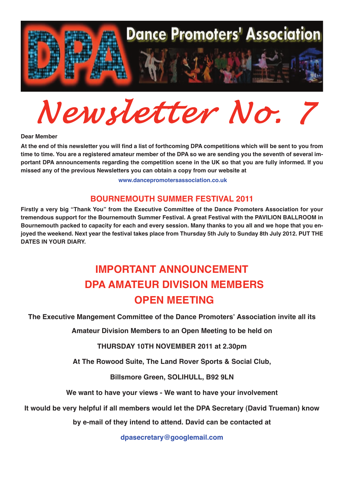

*Newsletter No. 7*

**Dear Member**

At the end of this newsletter you will find a list of forthcoming DPA competitions which will be sent to you from time to time. You are a registered amateur member of the DPA so we are sending you the seventh of several important DPA announcements regarding the competition scene in the UK so that you are fully informed. If you **missed any of the previous Newsletters you can obtain <sup>a</sup> copy from our website at**

**<www.dancepromotersassociation.co.uk>**

#### **BOURNEMOUTH SUMMER FESTIVAL 2011**

**Firstly <sup>a</sup> very big "Thank You" from the Executive Committee of the Dance Promoters Association for your tremendous support for the Bournemouth Summer Festival. A great Festival with the PAVILION BALLROOM in** Bournemouth packed to capacity for each and every session. Many thanks to you all and we hope that you enjoyed the weekend. Next year the festival takes place from Thursday 5th July to Sunday 8th July 2012. PUT THE **DATES IN YOUR DIARY.**

# **IMPORTANT ANNOUNCEMENT DPA AMATEUR DIVISION MEMBERS OPEN MEETING**

**The Executive Mangement Committee of the Dance Promoters' Association invite all its**

**Amateur Division Members to an Open Meeting to be held on**

**THURSDAY 10TH NOVEMBER 2011 at 2.30pm**

**At The Rowood Suite, The Land Rover Sports & Social Club,**

**Billsmore Green, SOLIHULL, B92 9LN**

**We want to have your views - We want to have your involvement**

**It would be very helpful if all members would let the DPA Secretary (David Trueman) know**

**by e-mail of they intend to attend. David can be contacted at**

**dpasecretary@googlemail.com**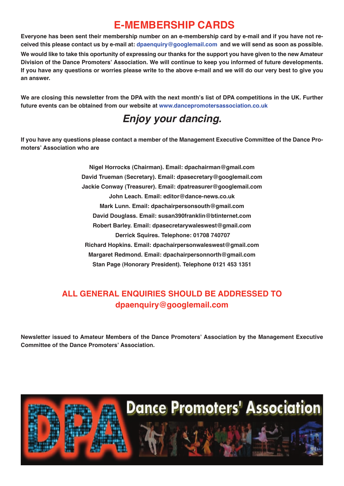## **E-MEMBERSHIP CARDS**

Evervone has been sent their membership number on an e-membership card by e-mail and if you have not received this please contact us by e-mail at: dpaenquiry@googlemail.com and we will send as soon as possible.

We would like to take this oportunity of expressing our thanks for the support you have given to the new Amateur **Division of the Dance Promoters' Association. We will continue to keep you informed of future developments.** If you have any questions or worries please write to the above e-mail and we will do our very best to give you **an answer.**

We are closing this newsletter from the DPA with the next month's list of DPA competitions in the UK. Further **future events can be obtained from our website at <www.dancepromotersassociation.co.uk>**

# *Enjoy your dancing.*

If you have any questions please contact a member of the Management Executive Committee of the Dance Pro**moters' Association who are**

> **Nigel Horrocks (Chairman). Email: dpachairman@gmail.com David Trueman (Secretary). Email: dpasecretary@googlemail.com Jackie Conway (Treasurer). Email: dpatreasurer@googlemail.com John Leach. Email: editor@dance-news.co.uk Mark Lunn. Email: dpachairpersonsouth@gmail.com David Douglass. Email: susan390franklin@btinternet.com Robert Barley. Email: dpasecretarywaleswest@gmail.com Derrick Squires. Telephone: 01708 740707 Richard Hopkins. Email: dpachairpersonwaleswest@gmail.com Margaret Redmond. Email: dpachairpersonnorth@gmail.com Stan Page (Honorary President). Telephone 0121 453 1351**

### **ALL GENERAL ENQUIRIES SHOULD BE ADDRESSED TO dpaenquiry@googlemail.com**

**Newsletter issued to Amateur Members of the Dance Promoters' Association by the Management Executive Committee of the Dance Promoters' Association.**